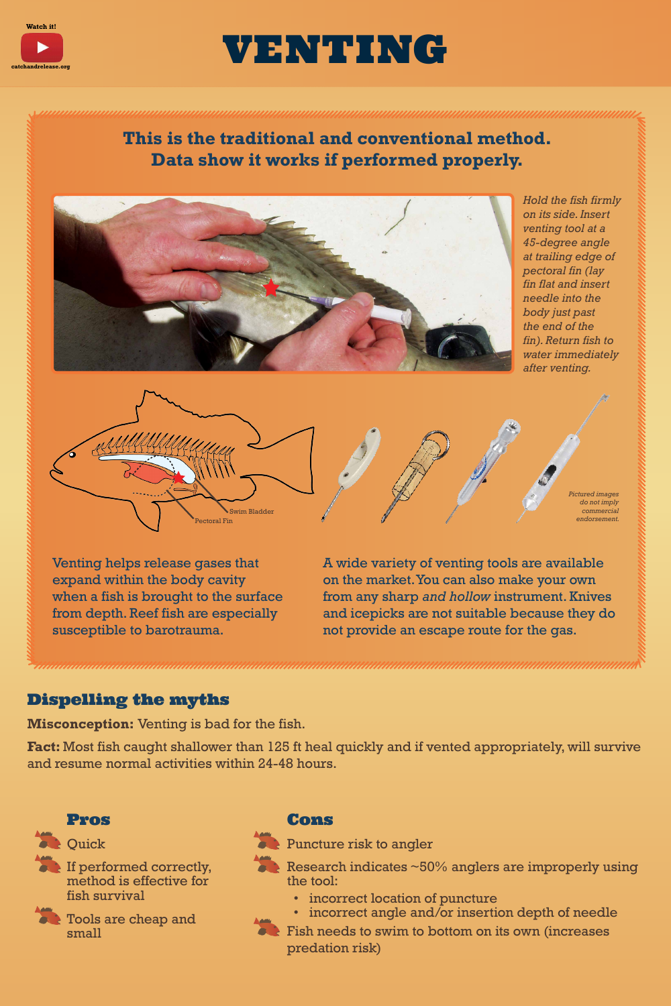### **This is the traditional and conventional method. Data show it works if performed properly.**

 not provide an escape route for the gas. A wide variety of venting tools are available on the market.You can also make your own from any sharp *and hollow* instrument. Knives and icepicks are not suitable because they do



If performed correctly, method is effective for

Venting helps release gases that expand within the body cavity when a fish is brought to the surface from depth. Reef fish are especially susceptible to barotrauma.

- Research indicates ~50% anglers are improperly using the tool:
	- incorrect location of puncture
	- incorrect angle and/or insertion depth of needle
	- Fish needs to swim to bottom on its own (increases predation risk)

**Watch it!** 



## VENTING.

#### Dispelling the myths

**Misconception:** Venting is bad for the fish.

**Fact:** Most fish caught shallower than 125 ft heal quickly and if vented appropriately, will survive and resume normal activities within 24-48 hours.

#### Pros

**COULD** 

fish survival



#### Cons

Puncture risk to angler

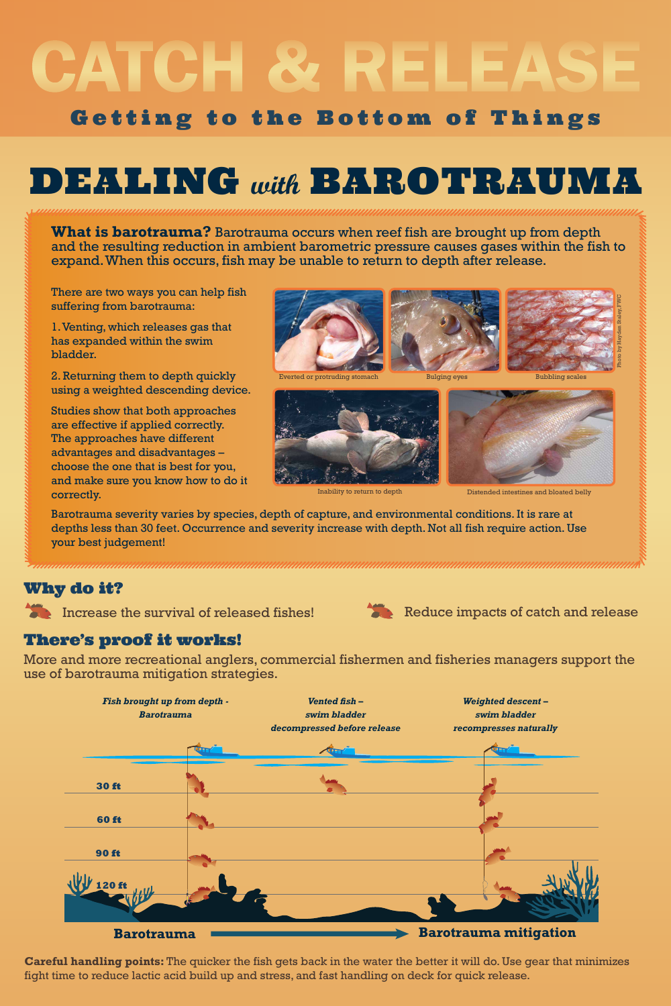# CATCH & RELEASE Getting to the Bottom of Things

## DEALING **with** BAROTRAUMA

**What is barotrauma?** Barotrauma occurs when reef fish are brought up from depth and the resulting reduction in ambient barometric pressure causes gases within the fish to expand.When this occurs, fish may be unable to return to depth after release.

2. Returning them to depth quickly Everted or protruding stomach Bulging eyes Bubbling scales using a weighted descending device.

Studies show that both approaches are effective if applied correctly. The approaches have different advantages and disadvantages – choose the one that is best for you, and make sure you know how to do it Inability to return to depth Distended intestines and bloated belly correctly.





There are two ways you can help fish suffering from barotrauma:

1.Venting, which releases gas that has expanded within the swim

bladder.



Barotrauma severity varies by species, depth of capture, and environmental conditions. It is rare at depths less than 30 feet. Occurrence and severity increase with depth. Not all fish require action. Use your best judgement!

### Why do it?



#### There's proof it works!

More and more recreational anglers, commercial fishermen and fisheries managers support the use of barotrauma mitigation strategies.



**Careful handling points:** The quicker the fish gets back in the water the better it will do. Use gear that minimizes fight time to reduce lactic acid build up and stress, and fast handling on deck for quick release.